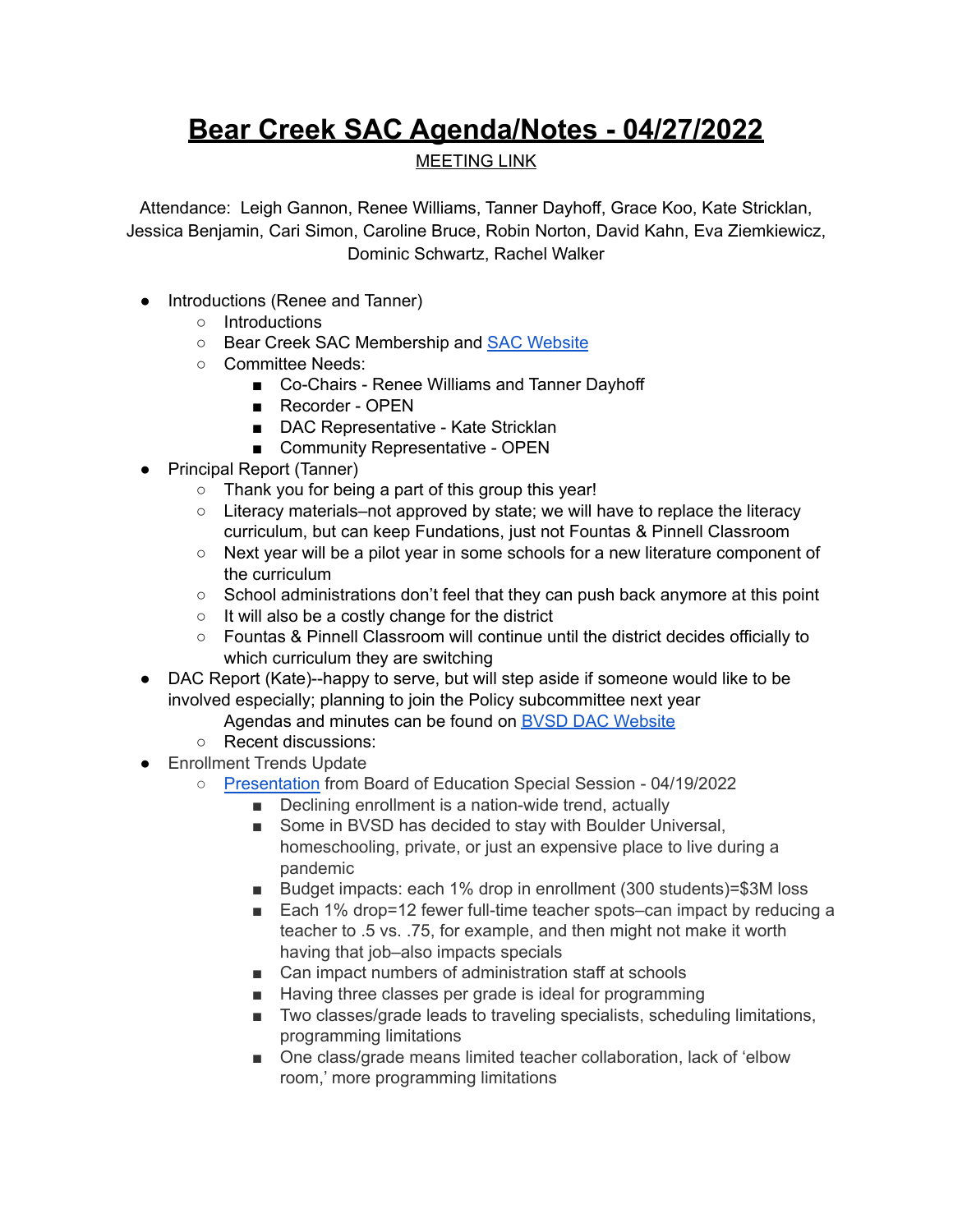## **Bear Creek SAC Agenda/Notes - 04/27/2022**

## MEETING LINK

Attendance: Leigh Gannon, Renee Williams, Tanner Dayhoff, Grace Koo, Kate Stricklan, Jessica Benjamin, Cari Simon, Caroline Bruce, Robin Norton, David Kahn, Eva Ziemkiewicz, Dominic Schwartz, Rachel Walker

- Introductions (Renee and Tanner)
	- Introductions
	- Bear Creek SAC Membership and SAC [Website](https://bce.bvsd.org/about/school-accountability-committee-sac)
	- Committee Needs:
		- Co-Chairs Renee Williams and Tanner Dayhoff
		- Recorder OPEN
		- DAC Representative Kate Stricklan
		- Community Representative OPEN
- Principal Report (Tanner)
	- Thank you for being a part of this group this year!
	- Literacy materials–not approved by state; we will have to replace the literacy curriculum, but can keep Fundations, just not Fountas & Pinnell Classroom
	- Next year will be a pilot year in some schools for a new literature component of the curriculum
	- School administrations don't feel that they can push back anymore at this point
	- It will also be a costly change for the district
	- Fountas & Pinnell Classroom will continue until the district decides officially to which curriculum they are switching
- DAC Report (Kate)--happy to serve, but will step aside if someone would like to be involved especially; planning to join the Policy subcommittee next year
	- Agendas and minutes can be found on BVSD DAC [Website](https://www.bvsd.org/about/district-accountability-committee)
	- Recent discussions:
- Enrollment Trends Update
	- [Presentation](https://drive.google.com/file/d/1OiQC3yt62btiAhhrhph_RsvVZBWU7xwE/view?usp=sharing) from Board of Education Special Session 04/19/2022
		- Declining enrollment is a nation-wide trend, actually
		- Some in BVSD has decided to stay with Boulder Universal, homeschooling, private, or just an expensive place to live during a pandemic
		- Budget impacts: each 1% drop in enrollment (300 students)=\$3M loss
		- Each 1% drop=12 fewer full-time teacher spots–can impact by reducing a teacher to .5 vs. .75, for example, and then might not make it worth having that job–also impacts specials
		- Can impact numbers of administration staff at schools
		- Having three classes per grade is ideal for programming
		- Two classes/grade leads to traveling specialists, scheduling limitations, programming limitations
		- One class/grade means limited teacher collaboration, lack of 'elbow room,' more programming limitations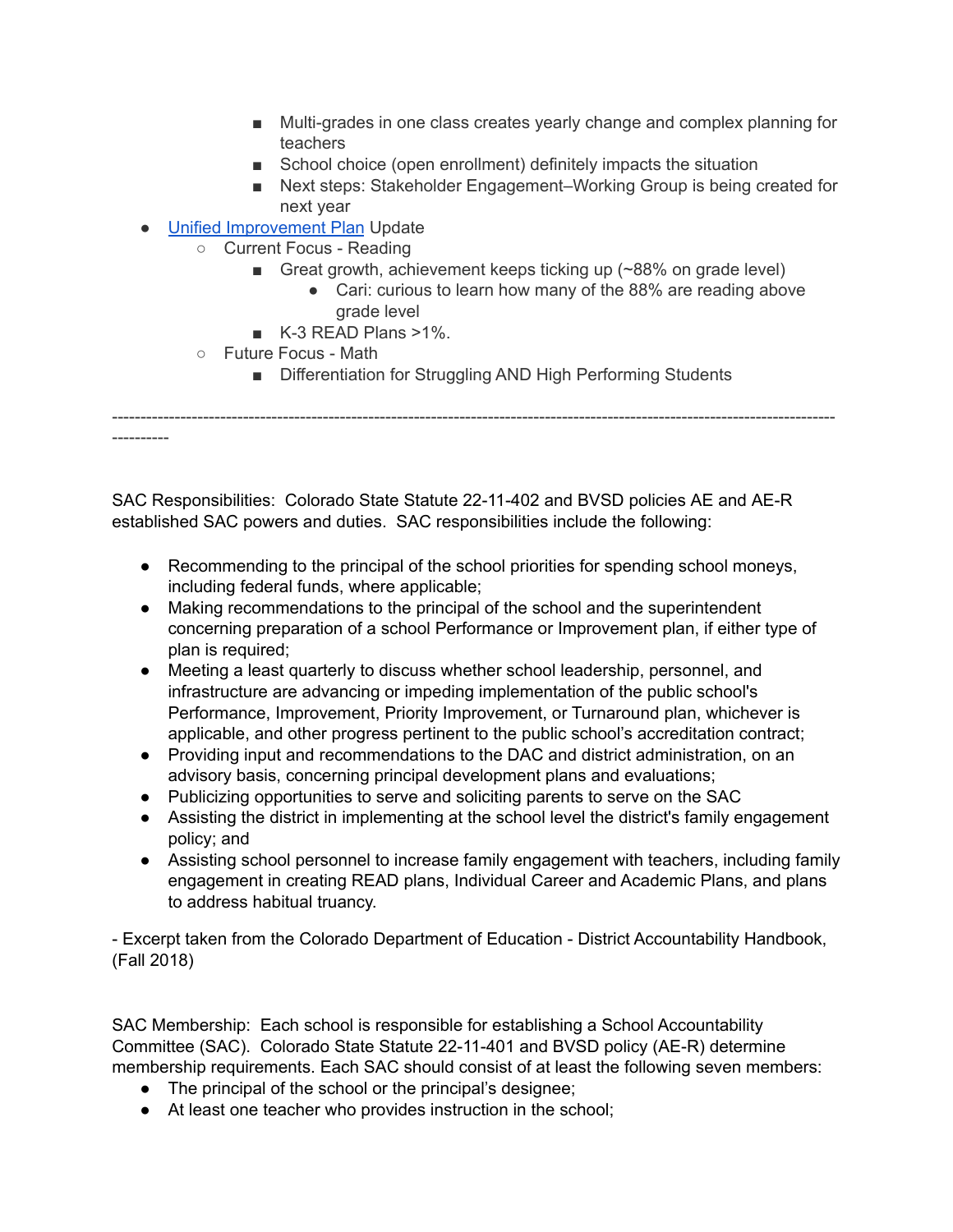- Multi-grades in one class creates yearly change and complex planning for teachers
- School choice (open enrollment) definitely impacts the situation
- Next steps: Stakeholder Engagement–Working Group is being created for next year
- Unified [Improvement](https://drive.google.com/file/d/1DFxT5BzQMAbohncBtzE56PAt3gQgDDC2/view?usp=sharing) Plan Update
	- Current Focus Reading
		- Great growth, achievement keeps ticking up  $(~88\%$  on grade level)
			- Cari: curious to learn how many of the 88% are reading above grade level
		- K-3 READ Plans >1%.
	- Future Focus Math

----------

■ Differentiation for Struggling AND High Performing Students

-------------------------------------------------------------------------------------------------------------------------------

SAC Responsibilities: Colorado State Statute [22-11-402](http://www.lpdirect.net/casb/crs/22-11-402.html) and BVSD policies [AE](https://www.bvsd.org/about/board-of-education/policies/policy/~board/a-policies/post/ae-accountabilitycommitment-to-accomplishment) and [AE-R](https://www.bvsd.org/about/board-of-education/policies/policy/~board/a-policies/post/ae-r-accountabilitycommitment-to-accomplishment-regulation) established SAC powers and duties. SAC responsibilities include the following:

- Recommending to the principal of the school priorities for spending school moneys, including federal funds, where applicable;
- Making recommendations to the principal of the school and the superintendent concerning preparation of a school Performance or Improvement plan, if either type of plan is required;
- Meeting a least quarterly to discuss whether school leadership, personnel, and infrastructure are advancing or impeding implementation of the public school's Performance, Improvement, Priority Improvement, or Turnaround plan, whichever is applicable, and other progress pertinent to the public school's accreditation contract;
- Providing input and recommendations to the DAC and district administration, on an advisory basis, concerning principal development plans and evaluations;
- Publicizing opportunities to serve and soliciting parents to serve on the SAC
- Assisting the district in implementing at the school level the district's family engagement policy; and
- Assisting school personnel to increase family engagement with teachers, including family engagement in creating READ plans, Individual Career and Academic Plans, and plans to address habitual truancy.

- Excerpt taken from the Colorado Department of Education - District Accountability Handbook, (Fall 2018)

SAC Membership: Each school is responsible for establishing a School Accountability Committee (SAC). Colorado State Statute [22-11-401](http://www.lpdirect.net/casb/crs/22-11-401.html) and BVSD policy [\(AE-R](https://www.bvsd.org/about/board-of-education/policies/policy/~board/a-policies/post/ae-r-accountabilitycommitment-to-accomplishment-regulation)) determine membership requirements. Each SAC should consist of at least the following seven members:

- The principal of the school or the principal's designee;
- At least one teacher who provides instruction in the school;